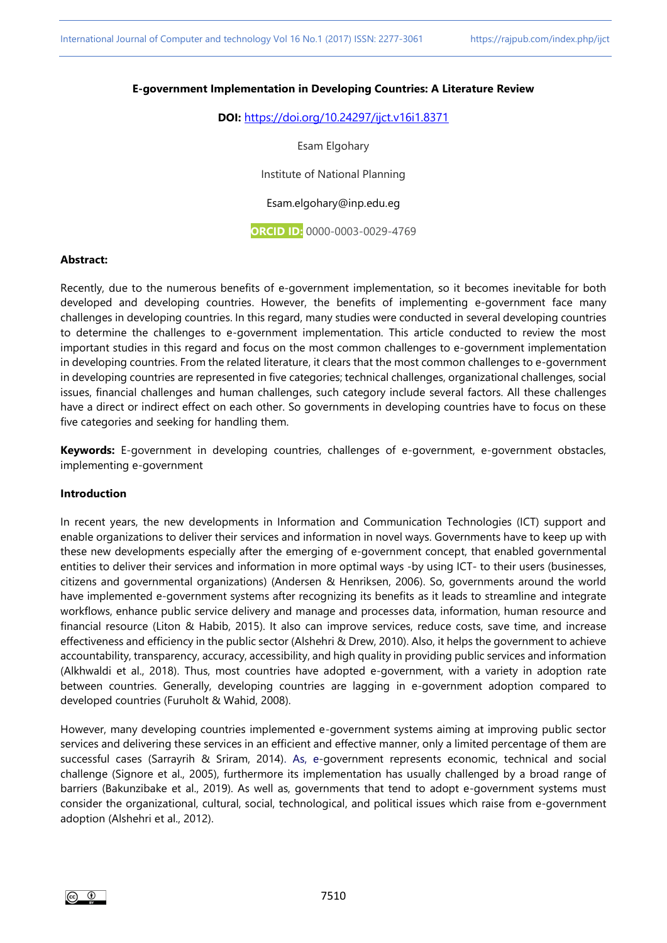#### **E-government Implementation in Developing Countries: A Literature Review**

**DOI:** <https://doi.org/10.24297/ijct.v16i1.8371>

Esam Elgohary

Institute of National Planning

Esam.elgohary@inp.edu.eg

**ORCID ID:** 0000-0003-0029-4769

#### **Abstract:**

Recently, due to the numerous benefits of e-government implementation, so it becomes inevitable for both developed and developing countries. However, the benefits of implementing e-government face many challenges in developing countries. In this regard, many studies were conducted in several developing countries to determine the challenges to e-government implementation. This article conducted to review the most important studies in this regard and focus on the most common challenges to e-government implementation in developing countries. From the related literature, it clears that the most common challenges to e-government in developing countries are represented in five categories; technical challenges, organizational challenges, social issues, financial challenges and human challenges, such category include several factors. All these challenges have a direct or indirect effect on each other. So governments in developing countries have to focus on these five categories and seeking for handling them.

**Keywords:** E-government in developing countries, challenges of e-government, e-government obstacles, implementing e-government

#### **Introduction**

In recent years, the new developments in Information and Communication Technologies (ICT) support and enable organizations to deliver their services and information in novel ways. Governments have to keep up with these new developments especially after the emerging of e-government concept, that enabled governmental entities to deliver their services and information in more optimal ways -by using ICT- to their users (businesses, citizens and governmental organizations) (Andersen & Henriksen, 2006). So, governments around the world have implemented e-government systems after recognizing its benefits as it leads to streamline and integrate workflows, enhance public service delivery and manage and processes data, information, human resource and financial resource (Liton & Habib, 2015). It also can improve services, reduce costs, save time, and increase effectiveness and efficiency in the public sector (Alshehri & Drew, 2010). Also, it helps the government to achieve accountability, transparency, accuracy, accessibility, and high quality in providing public services and information (Alkhwaldi et al., 2018). Thus, most countries have adopted e-government, with a variety in adoption rate between countries. Generally, developing countries are lagging in e-government adoption compared to developed countries (Furuholt & Wahid, 2008).

However, many developing countries implemented e-government systems aiming at improving public sector services and delivering these services in an efficient and effective manner, only a limited percentage of them are successful cases (Sarrayrih & Sriram, 2014). As, e-government represents economic, technical and social challenge (Signore et al., 2005), furthermore its implementation has usually challenged by a broad range of barriers (Bakunzibake et al., 2019). As well as, governments that tend to adopt e-government systems must consider the organizational, cultural, social, technological, and political issues which raise from e-government adoption (Alshehri et al., 2012).

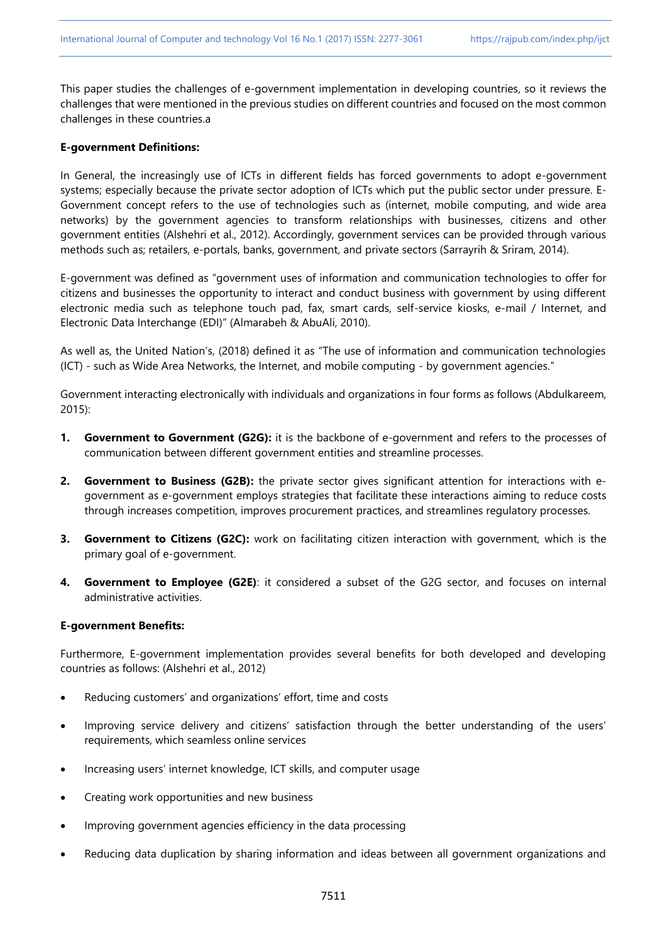This paper studies the challenges of e-government implementation in developing countries, so it reviews the challenges that were mentioned in the previous studies on different countries and focused on the most common challenges in these countries.a

### **E-government Definitions:**

In General, the increasingly use of ICTs in different fields has forced governments to adopt e-government systems; especially because the private sector adoption of ICTs which put the public sector under pressure. E-Government concept refers to the use of technologies such as (internet, mobile computing, and wide area networks) by the government agencies to transform relationships with businesses, citizens and other government entities (Alshehri et al., 2012). Accordingly, government services can be provided through various methods such as; retailers, e-portals, banks, government, and private sectors (Sarrayrih & Sriram, 2014).

E-government was defined as "government uses of information and communication technologies to offer for citizens and businesses the opportunity to interact and conduct business with government by using different electronic media such as telephone touch pad, fax, smart cards, self-service kiosks, e-mail / Internet, and Electronic Data Interchange (EDI)" (Almarabeh & AbuAli, 2010).

As well as, the United Nation's, (2018) defined it as "The use of information and communication technologies (ICT) - such as Wide Area Networks, the Internet, and mobile computing - by government agencies."

Government interacting electronically with individuals and organizations in four forms as follows (Abdulkareem, 2015):

- **1. Government to Government (G2G):** it is the backbone of e-government and refers to the processes of communication between different government entities and streamline processes.
- **2. Government to Business (G2B):** the private sector gives significant attention for interactions with egovernment as e-government employs strategies that facilitate these interactions aiming to reduce costs through increases competition, improves procurement practices, and streamlines regulatory processes.
- **3. Government to Citizens (G2C):** work on facilitating citizen interaction with government, which is the primary goal of e-government.
- **4. Government to Employee (G2E)**: it considered a subset of the G2G sector, and focuses on internal administrative activities.

### **E-government Benefits:**

Furthermore, E-government implementation provides several benefits for both developed and developing countries as follows: (Alshehri et al., 2012)

- Reducing customers' and organizations' effort, time and costs
- Improving service delivery and citizens' satisfaction through the better understanding of the users' requirements, which seamless online services
- Increasing users' internet knowledge, ICT skills, and computer usage
- Creating work opportunities and new business
- Improving government agencies efficiency in the data processing
- Reducing data duplication by sharing information and ideas between all government organizations and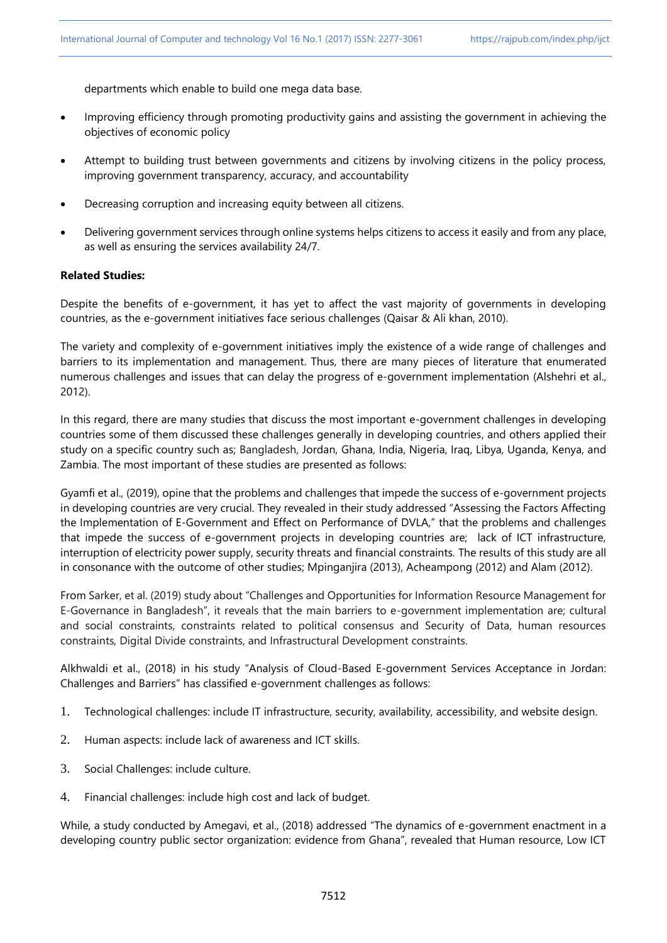departments which enable to build one mega data base.

- Improving efficiency through promoting productivity gains and assisting the government in achieving the objectives of economic policy
- Attempt to building trust between governments and citizens by involving citizens in the policy process, improving government transparency, accuracy, and accountability
- Decreasing corruption and increasing equity between all citizens.
- Delivering government services through online systems helps citizens to access it easily and from any place, as well as ensuring the services availability 24/7.

# **Related Studies:**

Despite the benefits of e-government, it has yet to affect the vast majority of governments in developing countries, as the e-government initiatives face serious challenges (Qaisar & Ali khan, 2010).

The variety and complexity of e-government initiatives imply the existence of a wide range of challenges and barriers to its implementation and management. Thus, there are many pieces of literature that enumerated numerous challenges and issues that can delay the progress of e-government implementation (Alshehri et al., 2012).

In this regard, there are many studies that discuss the most important e-government challenges in developing countries some of them discussed these challenges generally in developing countries, and others applied their study on a specific country such as; Bangladesh, Jordan, Ghana, India, Nigeria, Iraq, Libya, Uganda, Kenya, and Zambia. The most important of these studies are presented as follows:

Gyamfi et al., (2019), opine that the problems and challenges that impede the success of e-government projects in developing countries are very crucial. They revealed in their study addressed "Assessing the Factors Affecting the Implementation of E-Government and Effect on Performance of DVLA," that the problems and challenges that impede the success of e-government projects in developing countries are; lack of ICT infrastructure, interruption of electricity power supply, security threats and financial constraints. The results of this study are all in consonance with the outcome of other studies; Mpinganjira (2013), Acheampong (2012) and Alam (2012).

From Sarker, et al. (2019) study about "Challenges and Opportunities for Information Resource Management for E-Governance in Bangladesh", it reveals that the main barriers to e-government implementation are; cultural and social constraints, constraints related to political consensus and Security of Data, human resources constraints, Digital Divide constraints, and Infrastructural Development constraints.

Alkhwaldi et al., (2018) in his study "Analysis of Cloud-Based E-government Services Acceptance in Jordan: Challenges and Barriers" has classified e-government challenges as follows:

- 1. Technological challenges: include IT infrastructure, security, availability, accessibility, and website design.
- 2. Human aspects: include lack of awareness and ICT skills.
- 3. Social Challenges: include culture.
- 4. Financial challenges: include high cost and lack of budget.

While, a study conducted by Amegavi, et al., (2018) addressed "The dynamics of e-government enactment in a developing country public sector organization: evidence from Ghana", revealed that Human resource, Low ICT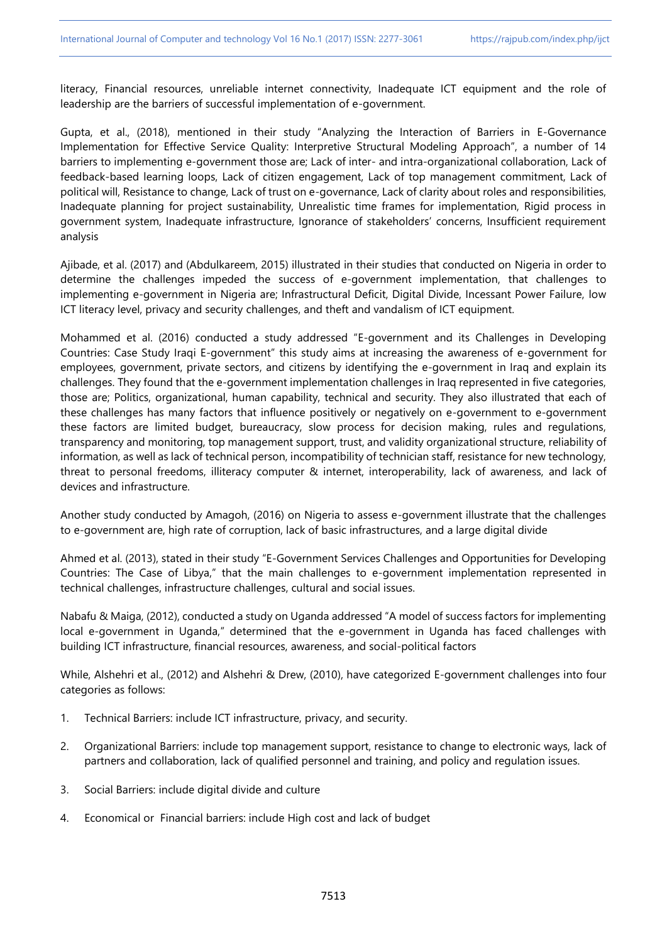literacy, Financial resources, unreliable internet connectivity, Inadequate ICT equipment and the role of leadership are the barriers of successful implementation of e-government.

Gupta, et al., (2018), mentioned in their study "Analyzing the Interaction of Barriers in E-Governance Implementation for Effective Service Quality: Interpretive Structural Modeling Approach", a number of 14 barriers to implementing e-government those are; Lack of inter- and intra-organizational collaboration, Lack of feedback-based learning loops, Lack of citizen engagement, Lack of top management commitment, Lack of political will, Resistance to change, Lack of trust on e-governance, Lack of clarity about roles and responsibilities, Inadequate planning for project sustainability, Unrealistic time frames for implementation, Rigid process in government system, Inadequate infrastructure, Ignorance of stakeholders' concerns, Insufficient requirement analysis

Ajibade, et al. (2017) and (Abdulkareem, 2015) illustrated in their studies that conducted on Nigeria in order to determine the challenges impeded the success of e-government implementation, that challenges to implementing e-government in Nigeria are; Infrastructural Deficit, Digital Divide, Incessant Power Failure, low ICT literacy level, privacy and security challenges, and theft and vandalism of ICT equipment.

Mohammed et al. (2016) conducted a study addressed "E-government and its Challenges in Developing Countries: Case Study Iraqi E-government" this study aims at increasing the awareness of e-government for employees, government, private sectors, and citizens by identifying the e-government in Iraq and explain its challenges. They found that the e-government implementation challenges in Iraq represented in five categories, those are; Politics, organizational, human capability, technical and security. They also illustrated that each of these challenges has many factors that influence positively or negatively on e-government to e-government these factors are limited budget, bureaucracy, slow process for decision making, rules and regulations, transparency and monitoring, top management support, trust, and validity organizational structure, reliability of information, as well as lack of technical person, incompatibility of technician staff, resistance for new technology, threat to personal freedoms, illiteracy computer & internet, interoperability, lack of awareness, and lack of devices and infrastructure.

Another study conducted by Amagoh, (2016) on Nigeria to assess e-government illustrate that the challenges to e-government are, high rate of corruption, lack of basic infrastructures, and a large digital divide

Ahmed et al. (2013), stated in their study "E-Government Services Challenges and Opportunities for Developing Countries: The Case of Libya," that the main challenges to e-government implementation represented in technical challenges, infrastructure challenges, cultural and social issues.

Nabafu & Maiga, (2012), conducted a study on Uganda addressed "A model of success factors for implementing local e-government in Uganda," determined that the e-government in Uganda has faced challenges with building ICT infrastructure, financial resources, awareness, and social-political factors

While, Alshehri et al., (2012) and Alshehri & Drew, (2010), have categorized E-government challenges into four categories as follows:

- 1. Technical Barriers: include ICT infrastructure, privacy, and security.
- 2. Organizational Barriers: include top management support, resistance to change to electronic ways, lack of partners and collaboration, lack of qualified personnel and training, and policy and regulation issues.
- 3. Social Barriers: include digital divide and culture
- 4. Economical or Financial barriers: include High cost and lack of budget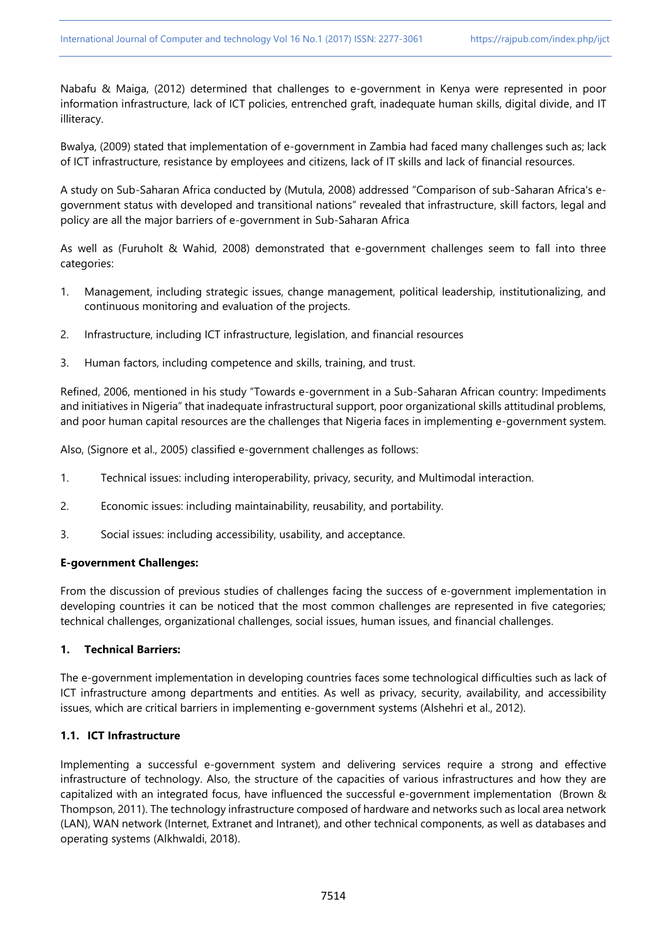Nabafu & Maiga, (2012) determined that challenges to e-government in Kenya were represented in poor information infrastructure, lack of ICT policies, entrenched graft, inadequate human skills, digital divide, and IT illiteracy.

Bwalya, (2009) stated that implementation of e-government in Zambia had faced many challenges such as; lack of ICT infrastructure, resistance by employees and citizens, lack of IT skills and lack of financial resources.

A study on Sub-Saharan Africa conducted by (Mutula, 2008) addressed "Comparison of sub-Saharan Africa's egovernment status with developed and transitional nations" revealed that infrastructure, skill factors, legal and policy are all the major barriers of e-government in Sub-Saharan Africa

As well as (Furuholt & Wahid, 2008) demonstrated that e-government challenges seem to fall into three categories:

- 1. Management, including strategic issues, change management, political leadership, institutionalizing, and continuous monitoring and evaluation of the projects.
- 2. Infrastructure, including ICT infrastructure, legislation, and financial resources
- 3. Human factors, including competence and skills, training, and trust.

Refined, 2006, mentioned in his study "Towards e-government in a Sub-Saharan African country: Impediments and initiatives in Nigeria" that inadequate infrastructural support, poor organizational skills attitudinal problems, and poor human capital resources are the challenges that Nigeria faces in implementing e-government system.

Also, (Signore et al., 2005) classified e-government challenges as follows:

- 1. Technical issues: including interoperability, privacy, security, and Multimodal interaction.
- 2. Economic issues: including maintainability, reusability, and portability.
- 3. Social issues: including accessibility, usability, and acceptance.

# **E-government Challenges:**

From the discussion of previous studies of challenges facing the success of e-government implementation in developing countries it can be noticed that the most common challenges are represented in five categories; technical challenges, organizational challenges, social issues, human issues, and financial challenges.

# **1. Technical Barriers:**

The e-government implementation in developing countries faces some technological difficulties such as lack of ICT infrastructure among departments and entities. As well as privacy, security, availability, and accessibility issues, which are critical barriers in implementing e-government systems (Alshehri et al., 2012).

# **1.1. ICT Infrastructure**

Implementing a successful e-government system and delivering services require a strong and effective infrastructure of technology. Also, the structure of the capacities of various infrastructures and how they are capitalized with an integrated focus, have influenced the successful e-government implementation (Brown & Thompson, 2011). The technology infrastructure composed of hardware and networks such as local area network (LAN), WAN network (Internet, Extranet and Intranet), and other technical components, as well as databases and operating systems (Alkhwaldi, 2018).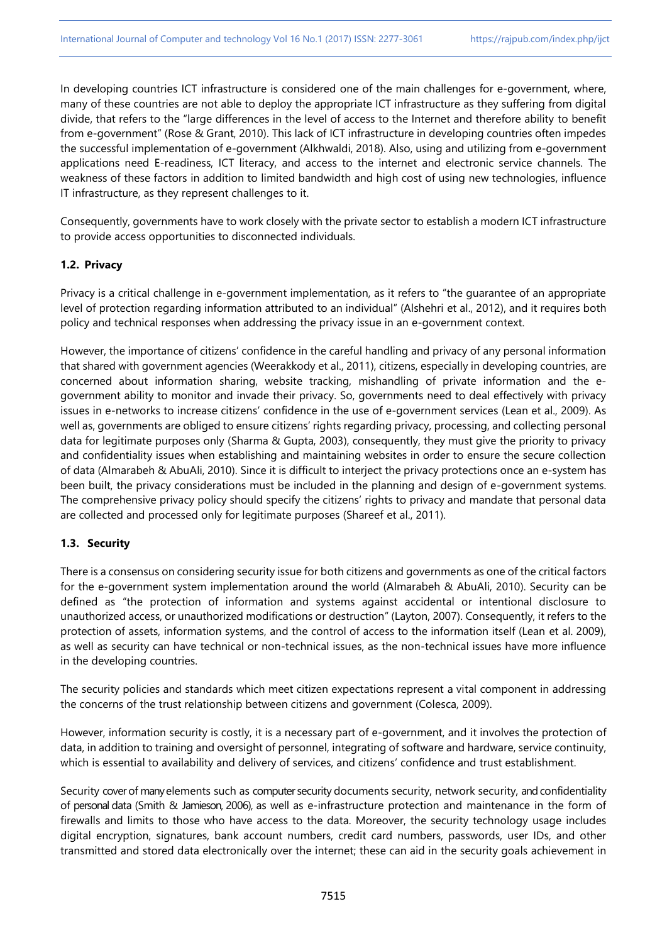In developing countries ICT infrastructure is considered one of the main challenges for e-government, where, many of these countries are not able to deploy the appropriate ICT infrastructure as they suffering from digital divide, that refers to the "large differences in the level of access to the Internet and therefore ability to benefit from e-government" (Rose & Grant, 2010). This lack of ICT infrastructure in developing countries often impedes the successful implementation of e-government (Alkhwaldi, 2018). Also, using and utilizing from e-government applications need E-readiness, ICT literacy, and access to the internet and electronic service channels. The weakness of these factors in addition to limited bandwidth and high cost of using new technologies, influence IT infrastructure, as they represent challenges to it.

Consequently, governments have to work closely with the private sector to establish a modern ICT infrastructure to provide access opportunities to disconnected individuals.

## **1.2. Privacy**

Privacy is a critical challenge in e-government implementation, as it refers to "the guarantee of an appropriate level of protection regarding information attributed to an individual" (Alshehri et al., 2012), and it requires both policy and technical responses when addressing the privacy issue in an e-government context.

However, the importance of citizens' confidence in the careful handling and privacy of any personal information that shared with government agencies (Weerakkody et al., 2011), citizens, especially in developing countries, are concerned about information sharing, website tracking, mishandling of private information and the egovernment ability to monitor and invade their privacy. So, governments need to deal effectively with privacy issues in e-networks to increase citizens' confidence in the use of e-government services (Lean et al., 2009). As well as, governments are obliged to ensure citizens' rights regarding privacy, processing, and collecting personal data for legitimate purposes only (Sharma & Gupta, 2003), consequently, they must give the priority to privacy and confidentiality issues when establishing and maintaining websites in order to ensure the secure collection of data (Almarabeh & AbuAli, 2010). Since it is difficult to interject the privacy protections once an e-system has been built, the privacy considerations must be included in the planning and design of e-government systems. The comprehensive privacy policy should specify the citizens' rights to privacy and mandate that personal data are collected and processed only for legitimate purposes (Shareef et al., 2011).

# **1.3. Security**

There is a consensus on considering security issue for both citizens and governments as one of the critical factors for the e-government system implementation around the world (Almarabeh & AbuAli, 2010). Security can be defined as "the protection of information and systems against accidental or intentional disclosure to unauthorized access, or unauthorized modifications or destruction" (Layton, 2007). Consequently, it refers to the protection of assets, information systems, and the control of access to the information itself (Lean et al. 2009), as well as security can have technical or non-technical issues, as the non-technical issues have more influence in the developing countries.

The security policies and standards which meet citizen expectations represent a vital component in addressing the concerns of the trust relationship between citizens and government (Colesca, 2009).

However, information security is costly, it is a necessary part of e-government, and it involves the protection of data, in addition to training and oversight of personnel, integrating of software and hardware, service continuity, which is essential to availability and delivery of services, and citizens' confidence and trust establishment.

Security cover of many elements such as computer security documents security, network security, and confidentiality of personal data (Smith & Jamieson, 2006), as well as e-infrastructure protection and maintenance in the form of firewalls and limits to those who have access to the data. Moreover, the security technology usage includes digital encryption, signatures, bank account numbers, credit card numbers, passwords, user IDs, and other transmitted and stored data electronically over the internet; these can aid in the security goals achievement in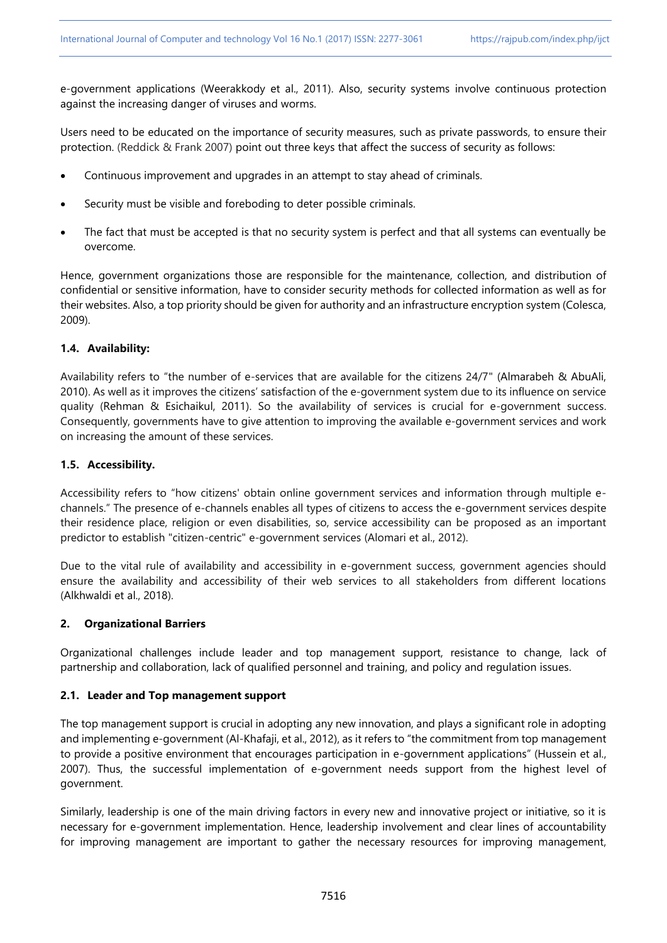e-government applications (Weerakkody et al., 2011). Also, security systems involve continuous protection against the increasing danger of viruses and worms.

Users need to be educated on the importance of security measures, such as private passwords, to ensure their protection. (Reddick & Frank 2007) point out three keys that affect the success of security as follows:

- Continuous improvement and upgrades in an attempt to stay ahead of criminals.
- Security must be visible and foreboding to deter possible criminals.
- The fact that must be accepted is that no security system is perfect and that all systems can eventually be overcome.

Hence, government organizations those are responsible for the maintenance, collection, and distribution of confidential or sensitive information, have to consider security methods for collected information as well as for their websites. Also, a top priority should be given for authority and an infrastructure encryption system (Colesca, 2009).

## **1.4. Availability:**

Availability refers to "the number of e-services that are available for the citizens 24/7" (Almarabeh & AbuAli, 2010). As well as it improves the citizens' satisfaction of the e-government system due to its influence on service quality (Rehman & Esichaikul, 2011). So the availability of services is crucial for e-government success. Consequently, governments have to give attention to improving the available e-government services and work on increasing the amount of these services.

## **1.5. Accessibility.**

Accessibility refers to "how citizens' obtain online government services and information through multiple echannels." The presence of e-channels enables all types of citizens to access the e-government services despite their residence place, religion or even disabilities, so, service accessibility can be proposed as an important predictor to establish "citizen-centric" e-government services (Alomari et al., 2012).

Due to the vital rule of availability and accessibility in e-government success, government agencies should ensure the availability and accessibility of their web services to all stakeholders from different locations (Alkhwaldi et al., 2018).

### **2. Organizational Barriers**

Organizational challenges include leader and top management support, resistance to change, lack of partnership and collaboration, lack of qualified personnel and training, and policy and regulation issues.

### **2.1. Leader and Top management support**

The top management support is crucial in adopting any new innovation, and plays a significant role in adopting and implementing e-government (Al-Khafaji, et al., 2012), as it refers to "the commitment from top management to provide a positive environment that encourages participation in e-government applications" (Hussein et al., 2007). Thus, the successful implementation of e-government needs support from the highest level of government.

Similarly, leadership is one of the main driving factors in every new and innovative project or initiative, so it is necessary for e-government implementation. Hence, leadership involvement and clear lines of accountability for improving management are important to gather the necessary resources for improving management,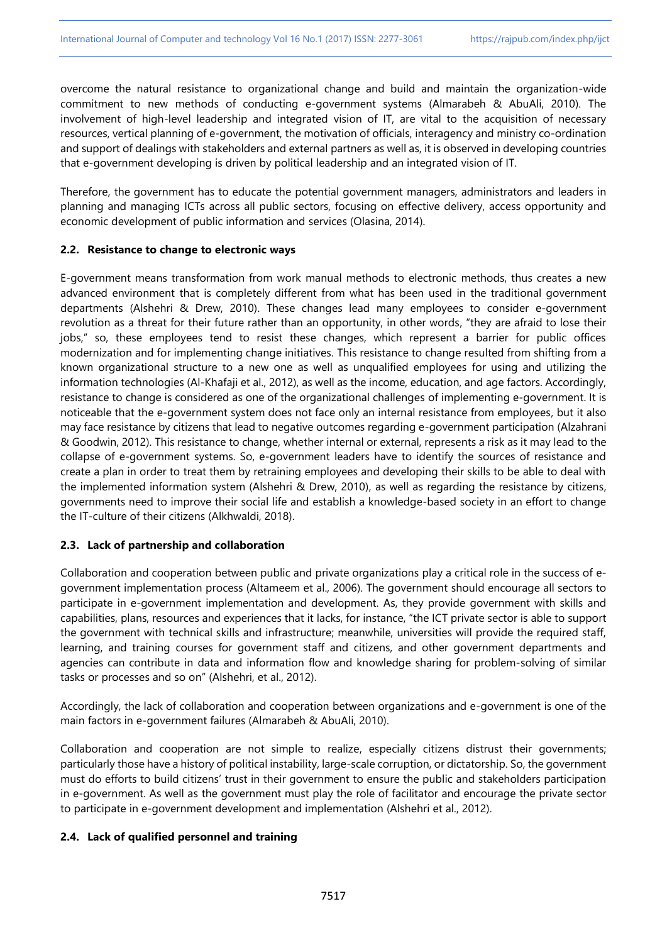overcome the natural resistance to organizational change and build and maintain the organization-wide commitment to new methods of conducting e-government systems (Almarabeh & AbuAli, 2010). The involvement of high-level leadership and integrated vision of IT, are vital to the acquisition of necessary resources, vertical planning of e-government, the motivation of officials, interagency and ministry co-ordination and support of dealings with stakeholders and external partners as well as, it is observed in developing countries that e-government developing is driven by political leadership and an integrated vision of IT.

Therefore, the government has to educate the potential government managers, administrators and leaders in planning and managing ICTs across all public sectors, focusing on effective delivery, access opportunity and economic development of public information and services (Olasina, 2014).

## **2.2. Resistance to change to electronic ways**

E-government means transformation from work manual methods to electronic methods, thus creates a new advanced environment that is completely different from what has been used in the traditional government departments (Alshehri & Drew, 2010). These changes lead many employees to consider e-government revolution as a threat for their future rather than an opportunity, in other words, "they are afraid to lose their jobs," so, these employees tend to resist these changes, which represent a barrier for public offices modernization and for implementing change initiatives. This resistance to change resulted from shifting from a known organizational structure to a new one as well as unqualified employees for using and utilizing the information technologies (Al-Khafaji et al., 2012), as well as the income, education, and age factors. Accordingly, resistance to change is considered as one of the organizational challenges of implementing e-government. It is noticeable that the e-government system does not face only an internal resistance from employees, but it also may face resistance by citizens that lead to negative outcomes regarding e-government participation (Alzahrani & Goodwin, 2012). This resistance to change, whether internal or external, represents a risk as it may lead to the collapse of e-government systems. So, e-government leaders have to identify the sources of resistance and create a plan in order to treat them by retraining employees and developing their skills to be able to deal with the implemented information system (Alshehri & Drew, 2010), as well as regarding the resistance by citizens, governments need to improve their social life and establish a knowledge-based society in an effort to change the IT-culture of their citizens (Alkhwaldi, 2018).

# **2.3. Lack of partnership and collaboration**

Collaboration and cooperation between public and private organizations play a critical role in the success of egovernment implementation process (Altameem et al., 2006). The government should encourage all sectors to participate in e-government implementation and development. As, they provide government with skills and capabilities, plans, resources and experiences that it lacks, for instance, "the ICT private sector is able to support the government with technical skills and infrastructure; meanwhile, universities will provide the required staff, learning, and training courses for government staff and citizens, and other government departments and agencies can contribute in data and information flow and knowledge sharing for problem-solving of similar tasks or processes and so on" (Alshehri, et al., 2012).

Accordingly, the lack of collaboration and cooperation between organizations and e-government is one of the main factors in e-government failures (Almarabeh & AbuAli, 2010).

Collaboration and cooperation are not simple to realize, especially citizens distrust their governments; particularly those have a history of political instability, large-scale corruption, or dictatorship. So, the government must do efforts to build citizens' trust in their government to ensure the public and stakeholders participation in e-government. As well as the government must play the role of facilitator and encourage the private sector to participate in e-government development and implementation (Alshehri et al., 2012).

# **2.4. Lack of qualified personnel and training**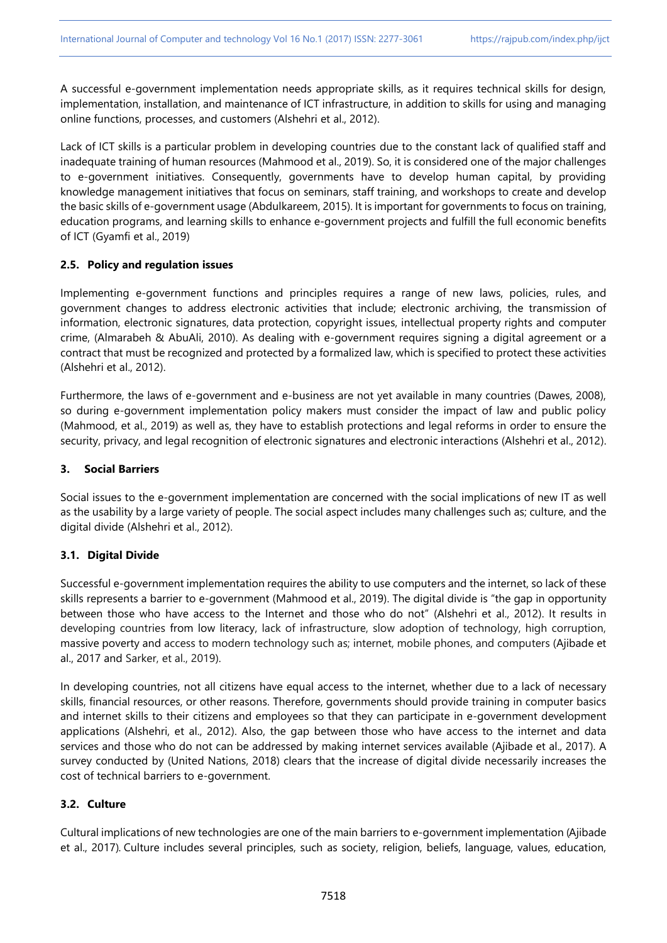A successful e-government implementation needs appropriate skills, as it requires technical skills for design, implementation, installation, and maintenance of ICT infrastructure, in addition to skills for using and managing online functions, processes, and customers (Alshehri et al., 2012).

Lack of ICT skills is a particular problem in developing countries due to the constant lack of qualified staff and inadequate training of human resources (Mahmood et al., 2019). So, it is considered one of the major challenges to e-government initiatives. Consequently, governments have to develop human capital, by providing knowledge management initiatives that focus on seminars, staff training, and workshops to create and develop the basic skills of e-government usage (Abdulkareem, 2015). It is important for governments to focus on training, education programs, and learning skills to enhance e-government projects and fulfill the full economic benefits of ICT (Gyamfi et al., 2019)

## **2.5. Policy and regulation issues**

Implementing e-government functions and principles requires a range of new laws, policies, rules, and government changes to address electronic activities that include; electronic archiving, the transmission of information, electronic signatures, data protection, copyright issues, intellectual property rights and computer crime, (Almarabeh & AbuAli, 2010). As dealing with e-government requires signing a digital agreement or a contract that must be recognized and protected by a formalized law, which is specified to protect these activities (Alshehri et al., 2012).

Furthermore, the laws of e-government and e-business are not yet available in many countries (Dawes, 2008), so during e-government implementation policy makers must consider the impact of law and public policy (Mahmood, et al., 2019) as well as, they have to establish protections and legal reforms in order to ensure the security, privacy, and legal recognition of electronic signatures and electronic interactions (Alshehri et al., 2012).

### **3. Social Barriers**

Social issues to the e-government implementation are concerned with the social implications of new IT as well as the usability by a large variety of people. The social aspect includes many challenges such as; culture, and the digital divide (Alshehri et al., 2012).

# **3.1. Digital Divide**

Successful e-government implementation requires the ability to use computers and the internet, so lack of these skills represents a barrier to e-government (Mahmood et al., 2019). The digital divide is "the gap in opportunity between those who have access to the Internet and those who do not" (Alshehri et al., 2012). It results in developing countries from low literacy, lack of infrastructure, slow adoption of technology, high corruption, massive poverty and access to modern technology such as; internet, mobile phones, and computers (Ajibade et al., 2017 and Sarker, et al., 2019).

In developing countries, not all citizens have equal access to the internet, whether due to a lack of necessary skills, financial resources, or other reasons. Therefore, governments should provide training in computer basics and internet skills to their citizens and employees so that they can participate in e-government development applications (Alshehri, et al., 2012). Also, the gap between those who have access to the internet and data services and those who do not can be addressed by making internet services available (Ajibade et al., 2017). A survey conducted by (United Nations, 2018) clears that the increase of digital divide necessarily increases the cost of technical barriers to e-government.

# **3.2. Culture**

Cultural implications of new technologies are one of the main barriers to e-government implementation (Ajibade et al., 2017). Culture includes several principles, such as society, religion, beliefs, language, values, education,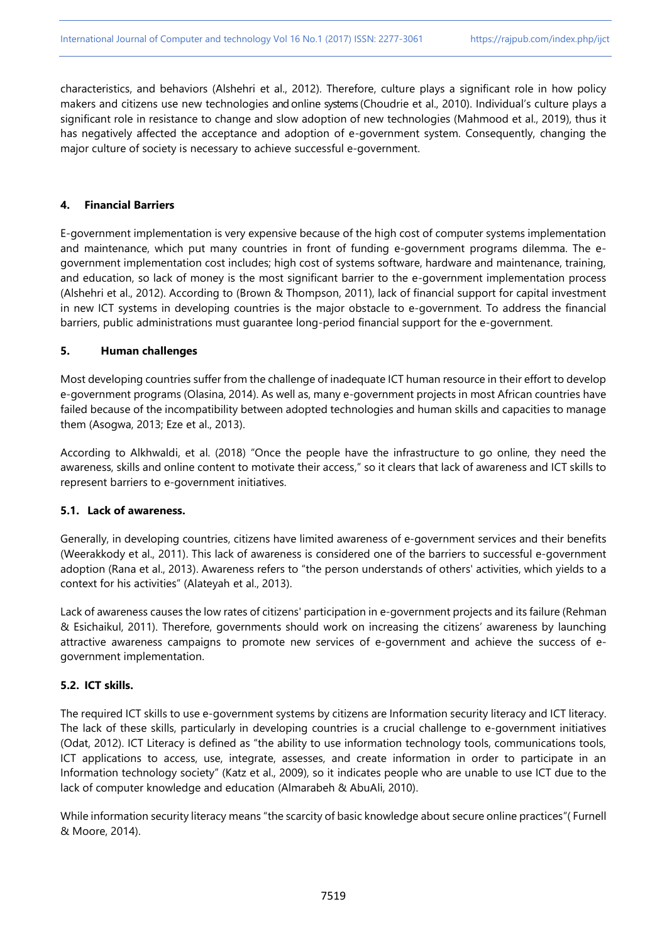characteristics, and behaviors (Alshehri et al., 2012). Therefore, culture plays a significant role in how policy makers and citizens use new technologies and online systems (Choudrie et al., 2010). Individual's culture plays a significant role in resistance to change and slow adoption of new technologies (Mahmood et al., 2019), thus it has negatively affected the acceptance and adoption of e-government system. Consequently, changing the major culture of society is necessary to achieve successful e-government.

## **4. Financial Barriers**

E-government implementation is very expensive because of the high cost of computer systems implementation and maintenance, which put many countries in front of funding e-government programs dilemma. The egovernment implementation cost includes; high cost of systems software, hardware and maintenance, training, and education, so lack of money is the most significant barrier to the e-government implementation process (Alshehri et al., 2012). According to (Brown & Thompson, 2011), lack of financial support for capital investment in new ICT systems in developing countries is the major obstacle to e-government. To address the financial barriers, public administrations must guarantee long-period financial support for the e-government.

### **5. Human challenges**

Most developing countries suffer from the challenge of inadequate ICT human resource in their effort to develop e-government programs (Olasina, 2014). As well as, many e-government projects in most African countries have failed because of the incompatibility between adopted technologies and human skills and capacities to manage them (Asogwa, 2013; Eze et al., 2013).

According to Alkhwaldi, et al. (2018) "Once the people have the infrastructure to go online, they need the awareness, skills and online content to motivate their access," so it clears that lack of awareness and ICT skills to represent barriers to e-government initiatives.

# **5.1. Lack of awareness.**

Generally, in developing countries, citizens have limited awareness of e-government services and their benefits (Weerakkody et al., 2011). This lack of awareness is considered one of the barriers to successful e-government adoption (Rana et al., 2013). Awareness refers to "the person understands of others' activities, which yields to a context for his activities" (Alateyah et al., 2013).

Lack of awareness causes the low rates of citizens' participation in e-government projects and its failure (Rehman & Esichaikul, 2011). Therefore, governments should work on increasing the citizens' awareness by launching attractive awareness campaigns to promote new services of e-government and achieve the success of egovernment implementation.

# **5.2. ICT skills.**

The required ICT skills to use e-government systems by citizens are Information security literacy and ICT literacy. The lack of these skills, particularly in developing countries is a crucial challenge to e-government initiatives (Odat, 2012). ICT Literacy is defined as "the ability to use information technology tools, communications tools, ICT applications to access, use, integrate, assesses, and create information in order to participate in an Information technology society" (Katz et al., 2009), so it indicates people who are unable to use ICT due to the lack of computer knowledge and education (Almarabeh & AbuAli, 2010).

While information security literacy means "the scarcity of basic knowledge about secure online practices"( Furnell & Moore, 2014).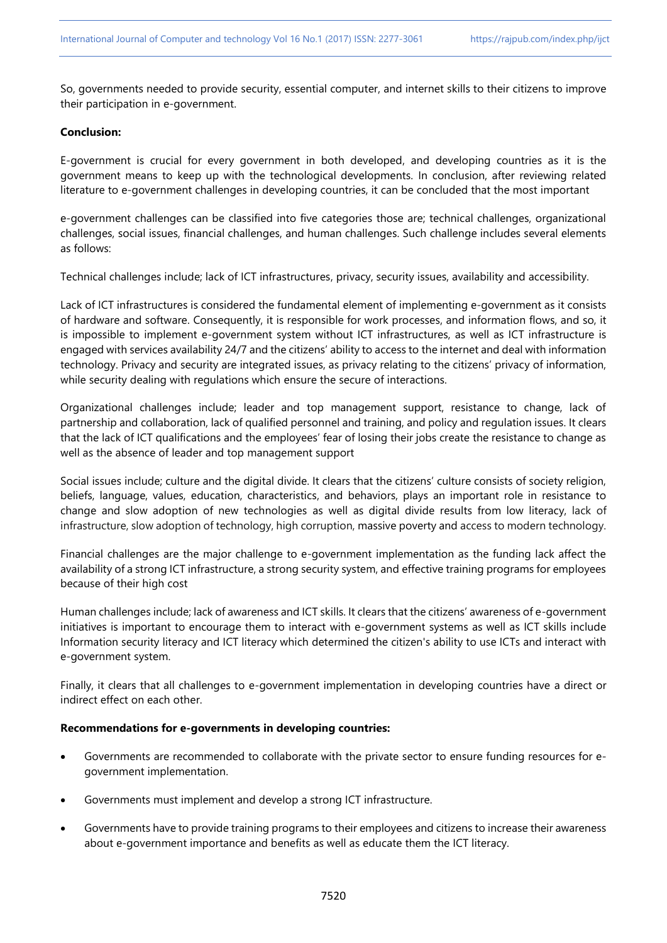So, governments needed to provide security, essential computer, and internet skills to their citizens to improve their participation in e-government.

### **Conclusion:**

E-government is crucial for every government in both developed, and developing countries as it is the government means to keep up with the technological developments. In conclusion, after reviewing related literature to e-government challenges in developing countries, it can be concluded that the most important

e-government challenges can be classified into five categories those are; technical challenges, organizational challenges, social issues, financial challenges, and human challenges. Such challenge includes several elements as follows:

Technical challenges include; lack of ICT infrastructures, privacy, security issues, availability and accessibility.

Lack of ICT infrastructures is considered the fundamental element of implementing e-government as it consists of hardware and software. Consequently, it is responsible for work processes, and information flows, and so, it is impossible to implement e-government system without ICT infrastructures, as well as ICT infrastructure is engaged with services availability 24/7 and the citizens' ability to access to the internet and deal with information technology. Privacy and security are integrated issues, as privacy relating to the citizens' privacy of information, while security dealing with regulations which ensure the secure of interactions.

Organizational challenges include; leader and top management support, resistance to change, lack of partnership and collaboration, lack of qualified personnel and training, and policy and regulation issues. It clears that the lack of ICT qualifications and the employees' fear of losing their jobs create the resistance to change as well as the absence of leader and top management support

Social issues include; culture and the digital divide. It clears that the citizens' culture consists of society religion, beliefs, language, values, education, characteristics, and behaviors, plays an important role in resistance to change and slow adoption of new technologies as well as digital divide results from low literacy, lack of infrastructure, slow adoption of technology, high corruption, massive poverty and access to modern technology.

Financial challenges are the major challenge to e-government implementation as the funding lack affect the availability of a strong ICT infrastructure, a strong security system, and effective training programs for employees because of their high cost

Human challenges include; lack of awareness and ICT skills. It clears that the citizens' awareness of e-government initiatives is important to encourage them to interact with e-government systems as well as ICT skills include Information security literacy and ICT literacy which determined the citizen's ability to use ICTs and interact with e-government system.

Finally, it clears that all challenges to e-government implementation in developing countries have a direct or indirect effect on each other.

### **Recommendations for e-governments in developing countries:**

- Governments are recommended to collaborate with the private sector to ensure funding resources for egovernment implementation.
- Governments must implement and develop a strong ICT infrastructure.
- Governments have to provide training programs to their employees and citizens to increase their awareness about e-government importance and benefits as well as educate them the ICT literacy.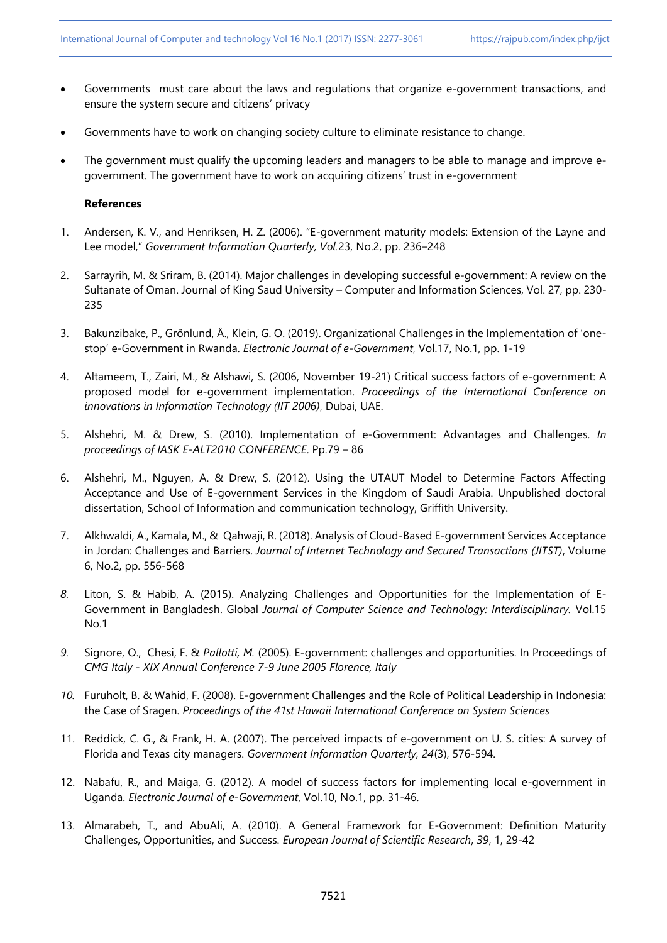- Governments must care about the laws and regulations that organize e-government transactions, and ensure the system secure and citizens' privacy
- Governments have to work on changing society culture to eliminate resistance to change.
- The government must qualify the upcoming leaders and managers to be able to manage and improve egovernment. The government have to work on acquiring citizens' trust in e-government

## **References**

- 1. Andersen, K. V., and Henriksen, H. Z. (2006). "E-government maturity models: Extension of the Layne and Lee model," *Government Information Quarterly, Vol.*23, No.2, pp. 236–248
- 2. Sarrayrih, M. & Sriram, B. (2014). Major challenges in developing successful e-government: A review on the Sultanate of Oman. Journal of King Saud University – Computer and Information Sciences, Vol. 27, pp. 230- 235
- 3. Bakunzibake, P., Grönlund, Å., Klein, G. O. (2019). Organizational Challenges in the Implementation of 'onestop' e-Government in Rwanda. *Electronic Journal of e-Government*, Vol.17, No.1, pp. 1-19
- 4. Altameem, T., Zairi, M., & Alshawi, S. (2006, November 19-21) Critical success factors of e-government: A proposed model for e-government implementation. *Proceedings of the International Conference on innovations in Information Technology (IIT 2006)*, Dubai, UAE.
- 5. Alshehri, M. & Drew, S. (2010). Implementation of e-Government: Advantages and Challenges. *In proceedings of IASK E-ALT2010 CONFERENCE*. Pp.79 – 86
- 6. Alshehri, M., Nguyen, A. & Drew, S. (2012). Using the UTAUT Model to Determine Factors Affecting Acceptance and Use of E-government Services in the Kingdom of Saudi Arabia. Unpublished doctoral dissertation, School of Information and communication technology, Griffith University.
- 7. Alkhwaldi, A., Kamala, M., & Qahwaji, R. (2018). Analysis of Cloud-Based E-government Services Acceptance in Jordan: Challenges and Barriers. *Journal of Internet Technology and Secured Transactions (JITST)*, Volume 6, No.2, pp. 556-568
- *8.* Liton, S. & Habib, A. (2015). Analyzing Challenges and Opportunities for the Implementation of E-Government in Bangladesh. Global *Journal of Computer Science and Technology: Interdisciplinary.* Vol.15 No.1
- *9.* Signore, O., Chesi, F. & *Pallotti, M.* (2005). E-government: challenges and opportunities. In Proceedings of *CMG Italy - XIX Annual Conference 7-9 June 2005 Florence, Italy*
- *10.* Furuholt, B. & Wahid, F. (2008). E-government Challenges and the Role of Political Leadership in Indonesia: the Case of Sragen. *Proceedings of the 41st Hawaii International Conference on System Sciences*
- 11. Reddick, C. G., & Frank, H. A. (2007). The perceived impacts of e-government on U. S. cities: A survey of Florida and Texas city managers. *Government Information Quarterly, 24*(3), 576-594.
- 12. Nabafu, R., and Maiga, G. (2012). A model of success factors for implementing local e-government in Uganda. *Electronic Journal of e-Government*, Vol.10, No.1, pp. 31-46.
- 13. Almarabeh, T., and AbuAli, A. (2010). A General Framework for E-Government: Definition Maturity Challenges, Opportunities, and Success. *European Journal of Scientific Research*, *39*, 1, 29-42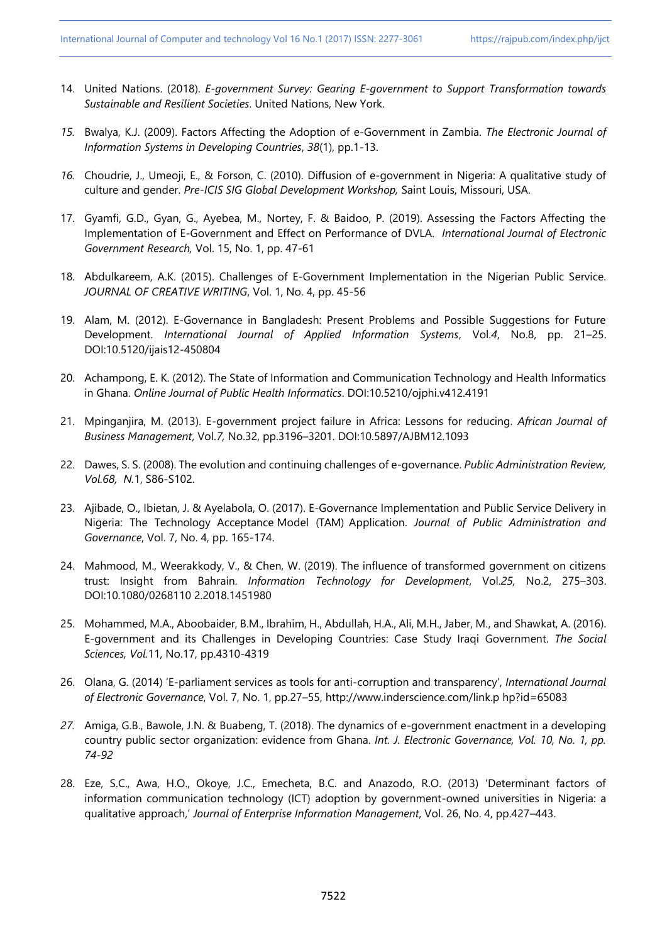- 14. United Nations. (2018). *E-government Survey: Gearing E-government to Support Transformation towards Sustainable and Resilient Societies*. United Nations, New York.
- *15.* Bwalya, K.J. (2009). Factors Affecting the Adoption of e‐Government in Zambia. *The Electronic Journal of Information Systems in Developing Countries*, *38*(1), pp.1-13.
- *16.* Choudrie, J., Umeoji, E., & Forson, C. (2010). Diffusion of e-government in Nigeria: A qualitative study of culture and gender. *Pre-ICIS SIG Global Development Workshop,* Saint Louis, Missouri, USA.
- 17. Gyamfi, G.D., Gyan, G., Ayebea, M., Nortey, F. & Baidoo, P. (2019). Assessing the Factors Affecting the Implementation of E-Government and Effect on Performance of DVLA. *International Journal of Electronic Government Research,* Vol. 15, No. 1, pp. 47-61
- 18. Abdulkareem, A.K. (2015). Challenges of E-Government Implementation in the Nigerian Public Service. *JOURNAL OF CREATIVE WRITING*, Vol. 1, No. 4, pp. 45-56
- 19. Alam, M. (2012). E-Governance in Bangladesh: Present Problems and Possible Suggestions for Future Development. *International Journal of Applied Information Systems*, Vol.*4*, No.8, pp. 21–25. DOI:10.5120/ijais12-450804
- 20. Achampong, E. K. (2012). The State of Information and Communication Technology and Health Informatics in Ghana. *Online Journal of Public Health Informatics*. DOI:10.5210/ojphi.v412.4191
- 21. Mpinganjira, M. (2013). E-government project failure in Africa: Lessons for reducing. *African Journal of Business Management*, Vol.*7,* No.32, pp.3196–3201. DOI:10.5897/AJBM12.1093
- 22. Dawes, S. S. (2008). The evolution and continuing challenges of e-governance. *Public Administration Review, Vol.68, N.*1, S86-S102.
- 23. Ajibade, O., Ibietan, J. & Ayelabola, O. (2017). E-Governance Implementation and Public Service Delivery in Nigeria: The Technology Acceptance Model (TAM) Application. *Journal of Public Administration and Governance*, Vol. 7, No. 4, pp. 165-174.
- 24. Mahmood, M., Weerakkody, V., & Chen, W. (2019). The influence of transformed government on citizens trust: Insight from Bahrain. *Information Technology for Development*, Vol.*25,* No.2, 275–303. DOI:10.1080/0268110 2.2018.1451980
- 25. Mohammed, M.A., Aboobaider, B.M., Ibrahim, H., Abdullah, H.A., Ali, M.H., Jaber, M., and Shawkat, A. (2016). E-government and its Challenges in Developing Countries: Case Study Iraqi Government. *The Social Sciences, Vol.*11, No.17, pp.4310-4319
- 26. Olana, G. (2014) 'E-parliament services as tools for anti-corruption and transparency', *International Journal of Electronic Governance*, Vol. 7, No. 1, pp.27–55, http://www.inderscience.com/link.p hp?id=65083
- *27.* Amiga, G.B., Bawole, J.N. & Buabeng, T. (2018). The dynamics of e-government enactment in a developing country public sector organization: evidence from Ghana. *Int. J. Electronic Governance, Vol. 10, No. 1, pp. 74-92*
- 28. Eze, S.C., Awa, H.O., Okoye, J.C., Emecheta, B.C. and Anazodo, R.O. (2013) 'Determinant factors of information communication technology (ICT) adoption by government-owned universities in Nigeria: a qualitative approach,' *Journal of Enterprise Information Management*, Vol. 26, No. 4, pp.427–443.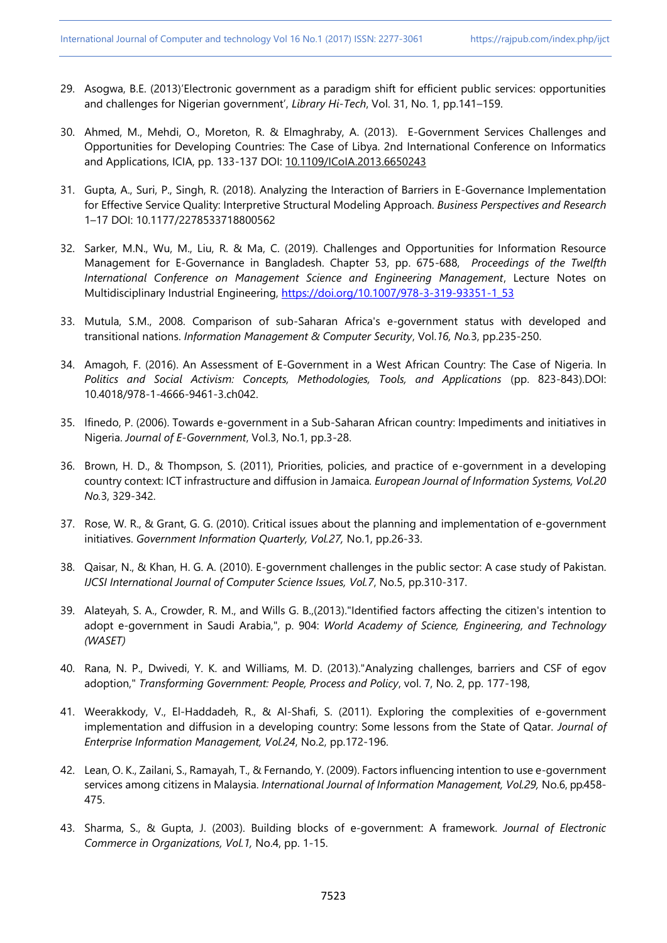- 29. Asogwa, B.E. (2013)'Electronic government as a paradigm shift for efficient public services: opportunities and challenges for Nigerian government', *Library Hi-Tech*, Vol. 31, No. 1, pp.141–159.
- 30. Ahmed, M., Mehdi, O., Moreton, R. & Elmaghraby, A. (2013). E-Government Services Challenges and Opportunities for Developing Countries: The Case of Libya. 2nd International Conference on Informatics and Applications, ICIA, pp. 133-137 DOI: [10.1109/ICoIA.2013.6650243](http://dx.doi.org/10.1109/ICoIA.2013.6650243)
- 31. Gupta, A., Suri, P., Singh, R. (2018). Analyzing the Interaction of Barriers in E-Governance Implementation for Effective Service Quality: Interpretive Structural Modeling Approach. *Business Perspectives and Research* 1–17 DOI: 10.1177/2278533718800562
- 32. Sarker, M.N., Wu, M., Liu, R. & Ma, C. (2019). Challenges and Opportunities for Information Resource Management for E-Governance in Bangladesh. Chapter 53, pp. 675-688, *Proceedings of the Twelfth International Conference on Management Science and Engineering Management*, Lecture Notes on Multidisciplinary Industrial Engineering, [https://doi.org/10.1007/978-3-319-93351-1\\_53](https://doi.org/10.1007/978-3-319-93351-1_53)
- 33. Mutula, S.M., 2008. Comparison of sub-Saharan Africa's e-government status with developed and transitional nations. *Information Management & Computer Security*, Vol.*16, No.*3, pp.235-250.
- 34. Amagoh, F. (2016). An Assessment of E-Government in a West African Country: The Case of Nigeria. In Politics and Social Activism: Concepts, Methodologies, Tools, and Applications (pp. 823-843).DOI: 10.4018/978-1-4666-9461-3.ch042.
- 35. Ifinedo, P. (2006). Towards e-government in a Sub-Saharan African country: Impediments and initiatives in Nigeria. *Journal of E-Government*, Vol.3, No.1, pp.3-28.
- 36. Brown, H. D., & Thompson, S. (2011), Priorities, policies, and practice of e-government in a developing country context: ICT infrastructure and diffusion in Jamaica*. European Journal of Information Systems, Vol.20 No.*3, 329-342.
- 37. Rose, W. R., & Grant, G. G. (2010). Critical issues about the planning and implementation of e-government initiatives. *Government Information Quarterly, Vol.27,* No.1, pp.26-33.
- 38. Qaisar, N., & Khan, H. G. A. (2010). E-government challenges in the public sector: A case study of Pakistan. *IJCSI International Journal of Computer Science Issues, Vol.7*, No.5, pp.310-317.
- 39. Alateyah, S. A., Crowder, R. M., and Wills G. B.,(2013)."Identified factors affecting the citizen's intention to adopt e-government in Saudi Arabia,", p. 904: *World Academy of Science, Engineering, and Technology (WASET)*
- 40. Rana, N. P., Dwivedi, Y. K. and Williams, M. D. (2013)."Analyzing challenges, barriers and CSF of egov adoption," *Transforming Government: People, Process and Policy*, vol. 7, No. 2, pp. 177-198,
- 41. Weerakkody, V., El-Haddadeh, R., & Al-Shafi, S. (2011). Exploring the complexities of e-government implementation and diffusion in a developing country: Some lessons from the State of Qatar. *Journal of Enterprise Information Management, Vol.24*, No.2, pp.172-196.
- 42. Lean, O. K., Zailani, S., Ramayah, T., & Fernando, Y. (2009). Factors influencing intention to use e-government services among citizens in Malaysia. *International Journal of Information Management, Vol.29,* No.6, pp.458- 475.
- 43. Sharma, S., & Gupta, J. (2003). Building blocks of e-government: A framework. *Journal of Electronic Commerce in Organizations, Vol.1,* No.4, pp. 1-15.